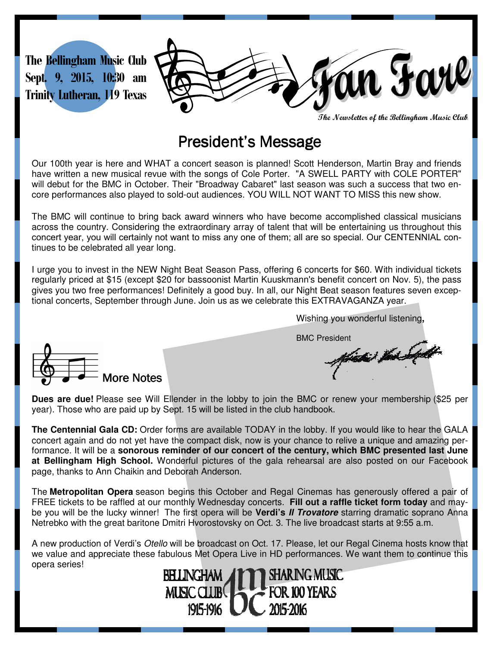

**The Newsletter of the Bellingham Music Club** 

## President's Message

Our 100th year is here and WHAT a concert season is planned! Scott Henderson, Martin Bray and friends have written a new musical revue with the songs of Cole Porter. "A SWELL PARTY with COLE PORTER" will debut for the BMC in October. Their "Broadway Cabaret" last season was such a success that two encore performances also played to sold-out audiences. YOU WILL NOT WANT TO MISS this new show.

The BMC will continue to bring back award winners who have become accomplished classical musicians across the country. Considering the extraordinary array of talent that will be entertaining us throughout this concert year, you will certainly not want to miss any one of them; all are so special. Our CENTENNIAL continues to be celebrated all year long.

I urge you to invest in the NEW Night Beat Season Pass, offering 6 concerts for \$60. With individual tickets regularly priced at \$15 (except \$20 for bassoonist Martin Kuuskmann's benefit concert on Nov. 5), the pass gives you two free performances! Definitely a good buy. In all, our Night Beat season features seven exceptional concerts, September through June. Join us as we celebrate this EXTRAVAGANZA year.

Wishing you wonderful listening**,** 

BMC President



**Dues are due!** Please see Will Ellender in the lobby to join the BMC or renew your membership (\$25 per year). Those who are paid up by Sept. 15 will be listed in the club handbook.

**The Centennial Gala CD:** Order forms are available TODAY in the lobby. If you would like to hear the GALA concert again and do not yet have the compact disk, now is your chance to relive a unique and amazing performance. It will be a **sonorous reminder of our concert of the century, which BMC presented last June at Bellingham High School.** Wonderful pictures of the gala rehearsal are also posted on our Facebook page, thanks to Ann Chaikin and Deborah Anderson.

The **Metropolitan Opera** season begins this October and Regal Cinemas has generously offered a pair of FREE tickets to be raffled at our monthly Wednesday concerts. **Fill out a raffle ticket form today** and maybe you will be the lucky winner! The first opera will be **Verdi's Il Trovatore** starring dramatic soprano Anna Netrebko with the great baritone Dmitri Hvorostovsky on Oct. 3. The live broadcast starts at 9:55 a.m.

A new production of Verdi's Otello will be broadcast on Oct. 17. Please, let our Regal Cinema hosts know that we value and appreciate these fabulous Met Opera Live in HD performances. We want them to continue this opera series!

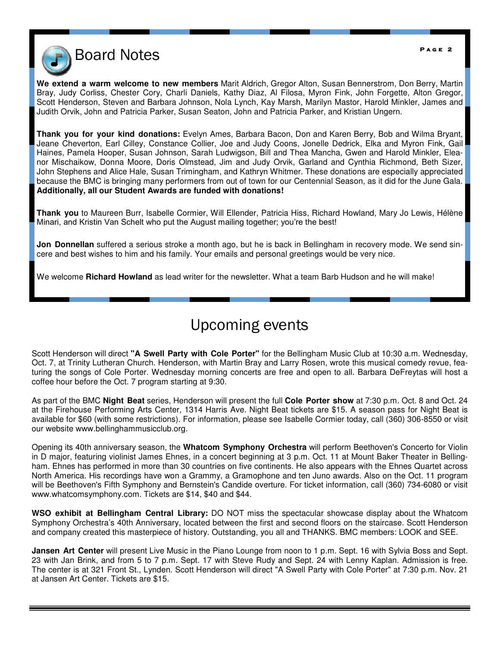

**We extend a warm welcome to new members** Marit Aldrich, Gregor Alton, Susan Bennerstrom, Don Berry, Martin Bray, Judy Corliss, Chester Cory, Charli Daniels, Kathy Diaz, Al Filosa, Myron Fink, John Forgette, Alton Gregor, Scott Henderson, Steven and Barbara Johnson, Nola Lynch, Kay Marsh, Marilyn Mastor, Harold Minkler, James and Judith Orvik, John and Patricia Parker, Susan Seaton, John and Patricia Parker, and Kristian Ungern.

**Thank you for your kind donations:** Evelyn Ames, Barbara Bacon, Don and Karen Berry, Bob and Wilma Bryant, Jeane Cheverton, Earl Cilley, Constance Collier, Joe and Judy Coons, Jonelle Dedrick, Elka and Myron Fink, Gail Haines, Pamela Hooper, Susan Johnson, Sarah Ludwigson, Bill and Thea Mancha, Gwen and Harold Minkler, Eleanor Mischaikow, Donna Moore, Doris Olmstead, Jim and Judy Orvik, Garland and Cynthia Richmond, Beth Sizer, John Stephens and Alice Hale, Susan Trimingham, and Kathryn Whitmer. These donations are especially appreciated because the BMC is bringing many performers from out of town for our Centennial Season, as it did for the June Gala. **Additionally, all our Student Awards are funded with donations!** 

**Thank you** to Maureen Burr, Isabelle Cormier, Will Ellender, Patricia Hiss, Richard Howland, Mary Jo Lewis, Hélène Minari, and Kristin Van Schelt who put the August mailing together; you're the best!

**Jon Donnellan** suffered a serious stroke a month ago, but he is back in Bellingham in recovery mode. We send sincere and best wishes to him and his family. Your emails and personal greetings would be very nice.

We welcome **Richard Howland** as lead writer for the newsletter. What a team Barb Hudson and he will make!

## Upcoming events

Scott Henderson will direct **"A Swell Party with Cole Porter"** for the Bellingham Music Club at 10:30 a.m. Wednesday, Oct. 7, at Trinity Lutheran Church. Henderson, with Martin Bray and Larry Rosen, wrote this musical comedy revue, featuring the songs of Cole Porter. Wednesday morning concerts are free and open to all. Barbara DeFreytas will host a coffee hour before the Oct. 7 program starting at 9:30.

As part of the BMC **Night Beat** series, Henderson will present the full **Cole Porter show** at 7:30 p.m. Oct. 8 and Oct. 24 at the Firehouse Performing Arts Center, 1314 Harris Ave. Night Beat tickets are \$15. A season pass for Night Beat is available for \$60 (with some restrictions). For information, please see Isabelle Cormier today, call (360) 306-8550 or visit our website www.bellinghammusicclub.org.

Opening its 40th anniversary season, the **Whatcom Symphony Orchestra** will perform Beethoven's Concerto for Violin in D major, featuring violinist James Ehnes, in a concert beginning at 3 p.m. Oct. 11 at Mount Baker Theater in Bellingham. Ehnes has performed in more than 30 countries on five continents. He also appears with the Ehnes Quartet across North America. His recordings have won a Grammy, a Gramophone and ten Juno awards. Also on the Oct. 11 program will be Beethoven's Fifth Symphony and Bernstein's Candide overture. For ticket information, call (360) 734-6080 or visit www.whatcomsymphony.com. Tickets are \$14, \$40 and \$44.

**WSO exhibit at Bellingham Central Library:** DO NOT miss the spectacular showcase display about the Whatcom Symphony Orchestra's 40th Anniversary, located between the first and second floors on the staircase. Scott Henderson and company created this masterpiece of history. Outstanding, you all and THANKS. BMC members: LOOK and SEE.

**Jansen Art Center** will present Live Music in the Piano Lounge from noon to 1 p.m. Sept. 16 with Sylvia Boss and Sept. 23 with Jan Brink, and from 5 to 7 p.m. Sept. 17 with Steve Rudy and Sept. 24 with Lenny Kaplan. Admission is free. The center is at 321 Front St., Lynden. Scott Henderson will direct "A Swell Party with Cole Porter" at 7:30 p.m. Nov. 21 at Jansen Art Center. Tickets are \$15.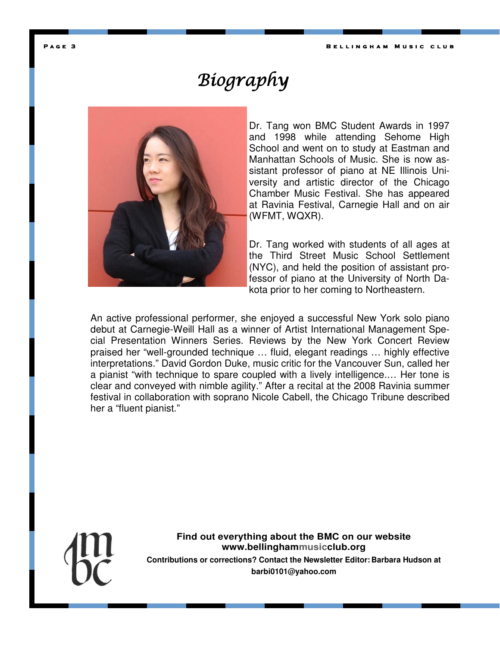**P** a g e 3 **b a set of the set of the set of the set of the B e l l i n g h a m b a m b a m b a m b a m b a m b a m b a m b a m b a m b a m b a m b a m b a m b a m b a m b a m b a m b a m b a m b a m b a m b a m b a m b a** 

## Biography



Dr. Tang won BMC Student Awards in 1997 and 1998 while attending Sehome High School and went on to study at Eastman and Manhattan Schools of Music. She is now assistant professor of piano at NE Illinois University and artistic director of the Chicago Chamber Music Festival. She has appeared at Ravinia Festival, Carnegie Hall and on air (WFMT, WQXR).

Dr. Tang worked with students of all ages at the Third Street Music School Settlement (NYC), and held the position of assistant professor of piano at the University of North Dakota prior to her coming to Northeastern.

An active professional performer, she enjoyed a successful New York solo piano debut at Carnegie-Weill Hall as a winner of Artist International Management Special Presentation Winners Series. Reviews by the New York Concert Review praised her "well-grounded technique … fluid, elegant readings … highly effective interpretations." David Gordon Duke, music critic for the Vancouver Sun, called her a pianist "with technique to spare coupled with a lively intelligence.… Her tone is clear and conveyed with nimble agility." After a recital at the 2008 Ravinia summer festival in collaboration with soprano Nicole Cabell, the Chicago Tribune described her a "fluent pianist."



**Find out everything about the BMC on our website www.bellinghammusicclub.org Contributions or corrections? Contact the Newsletter Editor: Barbara Hudson at barbi0101@yahoo.com**